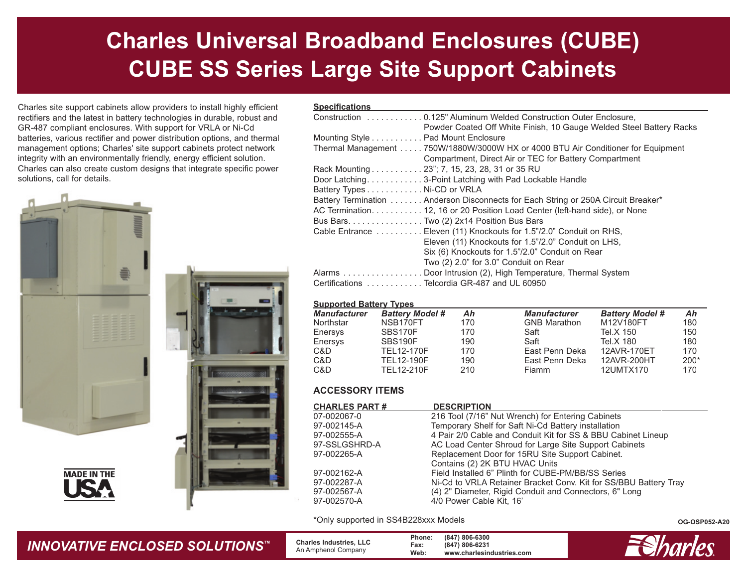# **Charles Universal Broadband Enclosures (CUBE) CUBE SS Series Large Site Support Cabinets**

Charles site support cabinets allow providers to install highly efficient rectifiers and the latest in battery technologies in durable, robust and GR-487 compliant enclosures. With support for VRLA or Ni-Cd batteries, various rectifier and power distribution options, and thermal management options; Charles' site support cabinets protect network integrity with an environmentally friendly, energy efficient solution. Charles can also create custom designs that integrate specific power solutions, call for details.



**MADE IN THE** 



### **Specifications**

| Powder Coated Off White Finish, 10 Gauge Welded Steel Battery Racks               |
|-----------------------------------------------------------------------------------|
| Mounting Style Pad Mount Enclosure                                                |
| Thermal Management 750W/1880W/3000W HX or 4000 BTU Air Conditioner for Equipment  |
| Compartment, Direct Air or TEC for Battery Compartment                            |
| Rack Mounting 23"; 7, 15, 23, 28, 31 or 35 RU                                     |
| Door Latching3-Point Latching with Pad Lockable Handle                            |
| Battery Types Ni-CD or VRLA                                                       |
| Battery Termination Anderson Disconnects for Each String or 250A Circuit Breaker* |
| AC Termination. 12, 16 or 20 Position Load Center (left-hand side), or None       |
| Bus Bars. Two (2) 2x14 Position Bus Bars                                          |
| Cable Entrance Eleven (11) Knockouts for 1.5"/2.0" Conduit on RHS,                |
| Eleven (11) Knockouts for 1.5"/2.0" Conduit on LHS,                               |
| Six (6) Knockouts for 1.5"/2.0" Conduit on Rear                                   |
| Two (2) 2.0" for 3.0" Conduit on Rear                                             |
| Alarms Door Intrusion (2), High Temperature, Thermal System                       |
| Certifications Telcordia GR-487 and UL 60950                                      |

#### **Supported Battery Types**

| <b>Manufacturer</b> | <b>Battery Model #</b> | Ah  | <b>Manufacturer</b> | <b>Battery Model #</b> | Ah     |
|---------------------|------------------------|-----|---------------------|------------------------|--------|
| Northstar           | NSB170FT               | 170 | <b>GNB Marathon</b> | M12V180FT              | 180    |
| Enersys             | SBS170F                | 170 | Saft                | Tel.X 150              | 150    |
| Enersys             | SBS190F                | 190 | Saft                | Tel.X 180              | 180    |
| C&D                 | TEL12-170F             | 170 | East Penn Deka      | 12AVR-170ET            | 170    |
| C&D                 | TEL12-190F             | 190 | East Penn Deka      | 12AVR-200HT            | $200*$ |
| C&D                 | TEL12-210F             | 210 | Fiamm               | 12UMTX170              | 170    |
|                     |                        |     |                     |                        |        |

### **ACCESSORY ITEMS**

| <b>CHARLES PART #</b> | <b>DESCRIPTION</b>                                               |
|-----------------------|------------------------------------------------------------------|
| 07-002067-0           | 216 Tool (7/16" Nut Wrench) for Entering Cabinets                |
| 97-002145-A           | Temporary Shelf for Saft Ni-Cd Battery installation              |
| 97-002555-A           | 4 Pair 2/0 Cable and Conduit Kit for SS & BBU Cabinet Lineup     |
| 97-SSLGSHRD-A         | AC Load Center Shroud for Large Site Support Cabinets            |
| 97-002265-A           | Replacement Door for 15RU Site Support Cabinet.                  |
|                       | Contains (2) 2K BTU HVAC Units                                   |
| 97-002162-A           | Field Installed 6" Plinth for CUBE-PM/BB/SS Series               |
| 97-002287-A           | Ni-Cd to VRLA Retainer Bracket Conv. Kit for SS/BBU Battery Tray |
| 97-002567-A           | (4) 2" Diameter, Rigid Conduit and Connectors, 6" Long           |
| 97-002570-A           | 4/0 Power Cable Kit, 16'                                         |
|                       |                                                                  |

\*Only supported in SS4B228xxx Models

**OG-OSP052-A20**



 **Charles Industries, LLC** An Amphenol Company

**Phone: (847) 806-6300 Fax: (847) 806-6231 Web: www.charlesindustries.com**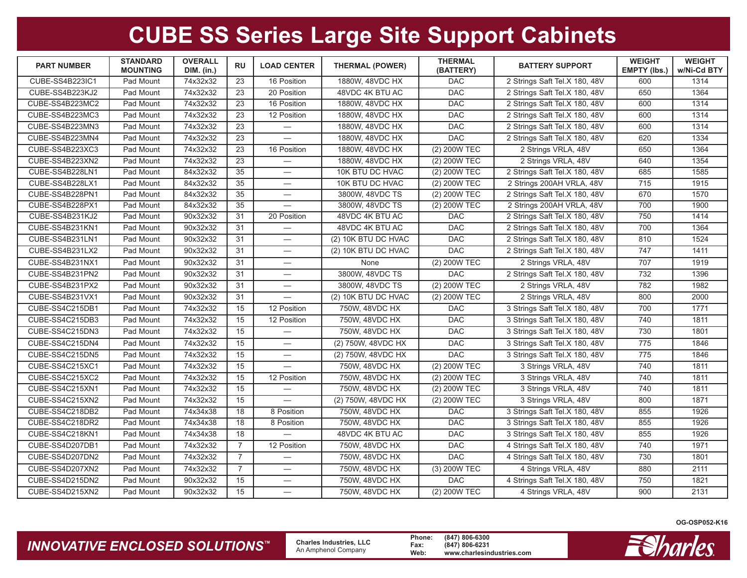| <b>PART NUMBER</b>     | <b>STANDARD</b><br><b>MOUNTING</b> | <b>OVERALL</b><br><b>DIM.</b> (in.) | <b>RU</b>      | <b>LOAD CENTER</b>               | <b>THERMAL (POWER)</b>        | <b>THERMAL</b><br>(BATTERY) |                               | <b>WEIGHT</b><br>EMPTY (lbs.) | <b>WEIGHT</b><br>w/Ni-Cd BTY |
|------------------------|------------------------------------|-------------------------------------|----------------|----------------------------------|-------------------------------|-----------------------------|-------------------------------|-------------------------------|------------------------------|
| <b>CUBE-SS4B223IC1</b> | Pad Mount                          | 74x32x32                            | 23             | 16 Position                      | 1880W, 48VDC HX<br><b>DAC</b> |                             | 2 Strings Saft Tel.X 180, 48V | 600                           | 1314                         |
| CUBE-SS4B223KJ2        | Pad Mount                          | 74x32x32                            | 23             | 20 Position                      | 48VDC 4K BTU AC               | <b>DAC</b>                  | 2 Strings Saft Tel.X 180, 48V | 650                           | 1364                         |
| CUBE-SS4B223MC2        | Pad Mount                          | 74x32x32                            | 23             | 16 Position                      | 1880W, 48VDC HX               | <b>DAC</b>                  | 2 Strings Saft Tel.X 180, 48V | 600                           | 1314                         |
| CUBE-SS4B223MC3        | Pad Mount                          | 74x32x32                            | 23             | 12 Position                      | 1880W, 48VDC HX               | <b>DAC</b>                  | 2 Strings Saft Tel.X 180, 48V | 600                           | 1314                         |
| CUBE-SS4B223MN3        | Pad Mount                          | 74x32x32                            | 23             |                                  | 1880W, 48VDC HX               | <b>DAC</b>                  | 2 Strings Saft Tel.X 180, 48V | 600                           | 1314                         |
| CUBE-SS4B223MN4        | Pad Mount                          | 74x32x32                            | 23             |                                  | 1880W, 48VDC HX               | <b>DAC</b>                  | 2 Strings Saft Tel.X 180, 48V | 620                           | 1334                         |
| CUBE-SS4B223XC3        | Pad Mount                          | 74x32x32                            | 23             | 16 Position                      | 1880W, 48VDC HX               | (2) 200W TEC                | 2 Strings VRLA, 48V           | 650                           | 1364                         |
| CUBE-SS4B223XN2        | Pad Mount                          | 74x32x32                            | 23             |                                  | 1880W, 48VDC HX               | (2) 200W TEC                | 2 Strings VRLA, 48V           | 640                           | 1354                         |
| CUBE-SS4B228LN1        | Pad Mount                          | 84x32x32                            | 35             |                                  | 10K BTU DC HVAC               | (2) 200W TEC                | 2 Strings Saft Tel.X 180, 48V | 685                           | 1585                         |
| CUBE-SS4B228LX1        | Pad Mount                          | 84x32x32                            | 35             |                                  | 10K BTU DC HVAC               | (2) 200W TEC                | 2 Strings 200AH VRLA, 48V     | 715                           | 1915                         |
| CUBE-SS4B228PN1        | Pad Mount                          | 84x32x32                            | 35             | $\overbrace{\phantom{123331}}$   | 3800W, 48VDC TS               | (2) 200W TEC                | 2 Strings Saft Tel.X 180, 48V | 670                           | 1570                         |
| CUBE-SS4B228PX1        | Pad Mount                          | 84x32x32                            | 35             |                                  | 3800W. 48VDC TS               | (2) 200W TEC                | 2 Strings 200AH VRLA, 48V     | 700                           | 1900                         |
| CUBE-SS4B231KJ2        | Pad Mount                          | 90x32x32                            | 31             | 20 Position                      | 48VDC 4K BTU AC               | <b>DAC</b>                  | 2 Strings Saft Tel.X 180, 48V | 750                           | 1414                         |
| CUBE-SS4B231KN1        | Pad Mount                          | 90x32x32                            | 31             |                                  | 48VDC 4K BTU AC               | <b>DAC</b>                  | 2 Strings Saft Tel.X 180, 48V | 700                           | 1364                         |
| CUBE-SS4B231LN1        | Pad Mount                          | 90x32x32                            | 31             |                                  | (2) 10K BTU DC HVAC           | <b>DAC</b>                  | 2 Strings Saft Tel.X 180, 48V | 810                           | 1524                         |
| CUBE-SS4B231LX2        | Pad Mount                          | 90x32x32                            | 31             |                                  | (2) 10K BTU DC HVAC           | <b>DAC</b>                  | 2 Strings Saft Tel.X 180, 48V | 747                           | 1411                         |
| CUBE-SS4B231NX1        | Pad Mount                          | 90x32x32                            | 31             |                                  | None                          | (2) 200W TEC                | 2 Strings VRLA, 48V           | 707                           | 1919                         |
| CUBE-SS4B231PN2        | Pad Mount                          | 90x32x32                            | 31             |                                  | 3800W. 48VDC TS               | <b>DAC</b>                  | 2 Strings Saft Tel.X 180, 48V | 732                           | 1396                         |
| CUBE-SS4B231PX2        | Pad Mount                          | 90x32x32                            | 31             |                                  | 3800W, 48VDC TS               | (2) 200W TEC                | 2 Strings VRLA, 48V           | 782                           | 1982                         |
| CUBE-SS4B231VX1        | Pad Mount                          | 90x32x32                            | 31             |                                  | (2) 10K BTU DC HVAC           | (2) 200W TEC                | 2 Strings VRLA, 48V           | 800                           | 2000                         |
| CUBE-SS4C215DB1        | Pad Mount                          | 74x32x32                            | 15             | 12 Position                      | 750W, 48VDC HX                | <b>DAC</b>                  | 3 Strings Saft Tel.X 180, 48V | 700                           | 1771                         |
| CUBE-SS4C215DB3        | Pad Mount                          | 74x32x32                            | 15             | 12 Position                      | 750W. 48VDC HX                | <b>DAC</b>                  | 3 Strings Saft Tel.X 180, 48V | 740                           | 1811                         |
| CUBE-SS4C215DN3        | Pad Mount                          | 74x32x32                            | 15             |                                  | 750W, 48VDC HX                | <b>DAC</b>                  | 3 Strings Saft Tel.X 180, 48V | 730                           | 1801                         |
| CUBE-SS4C215DN4        | Pad Mount                          | 74x32x32                            | 15             |                                  | (2) 750W, 48VDC HX            | <b>DAC</b>                  | 3 Strings Saft Tel.X 180, 48V | 775                           | 1846                         |
| CUBE-SS4C215DN5        | Pad Mount                          | 74x32x32                            | 15             |                                  | (2) 750W, 48VDC HX            | <b>DAC</b>                  | 3 Strings Saft Tel.X 180, 48V | 775                           | 1846                         |
| CUBE-SS4C215XC1        | Pad Mount                          | 74x32x32                            | 15             |                                  | 750W, 48VDC HX                | (2) 200W TEC                | 3 Strings VRLA, 48V           | 740                           | 1811                         |
| CUBE-SS4C215XC2        | Pad Mount                          | 74x32x32                            | 15             | 12 Position                      | 750W, 48VDC HX                | (2) 200W TEC                | 3 Strings VRLA, 48V           | 740                           | 1811                         |
| CUBE-SS4C215XN1        | Pad Mount                          | 74x32x32                            | 15             | $\overline{\phantom{0}}$         | 750W, 48VDC HX                | (2) 200W TEC                | 3 Strings VRLA, 48V           | 740                           | 1811                         |
| CUBE-SS4C215XN2        | Pad Mount                          | 74x32x32                            | 15             |                                  | (2) 750W, 48VDC HX            | (2) 200W TEC                | 3 Strings VRLA, 48V           | 800                           | 1871                         |
| CUBE-SS4C218DB2        | Pad Mount                          | 74x34x38                            | 18             | 8 Position                       | 750W. 48VDC HX                | DAC                         | 3 Strings Saft Tel.X 180, 48V | 855                           | 1926                         |
| CUBE-SS4C218DR2        | Pad Mount                          | 74x34x38                            | 18             | 8 Position                       | 750W, 48VDC HX                | <b>DAC</b>                  | 3 Strings Saft Tel.X 180, 48V | 855                           | 1926                         |
| CUBE-SS4C218KN1        | Pad Mount                          | 74x34x38                            | 18             |                                  | 48VDC 4K BTU AC               | <b>DAC</b>                  | 3 Strings Saft Tel.X 180, 48V | 855                           | 1926                         |
| CUBE-SS4D207DB1        | Pad Mount                          | 74x32x32                            | $\overline{7}$ | 12 Position                      | 750W. 48VDC HX                | <b>DAC</b>                  | 4 Strings Saft Tel.X 180, 48V | 740                           | 1971                         |
| CUBE-SS4D207DN2        | Pad Mount                          | 74x32x32                            | $\overline{7}$ | $\overbrace{\phantom{12322111}}$ | 750W, 48VDC HX                | <b>DAC</b>                  | 4 Strings Saft Tel.X 180, 48V | 730                           | 1801                         |
| CUBE-SS4D207XN2        | Pad Mount                          | 74x32x32                            | $\overline{7}$ | $\overline{\phantom{0}}$         | 750W, 48VDC HX                | (3) 200W TEC                | 4 Strings VRLA, 48V           | 880                           | 2111                         |
| CUBE-SS4D215DN2        | Pad Mount                          | 90x32x32                            | 15             |                                  | 750W, 48VDC HX                | <b>DAC</b>                  | 4 Strings Saft Tel.X 180, 48V | 750                           | 1821                         |
| CUBE-SS4D215XN2        | Pad Mount                          | 90x32x32                            | 15             | $\overbrace{\phantom{123331}}$   | 750W, 48VDC HX                | (2) 200W TEC                | 4 Strings VRLA, 48V           | 900                           | 2131                         |

**OG-OSP052-K16**

### *INNOVATIVE ENCLOSED SOLUTIONS ™*

 **Charles Industries, LLC** An Amphenol Company

**Phone: (847) 806-6300 Fax: (847) 806-6231 Web: www.charlesindustries.com**

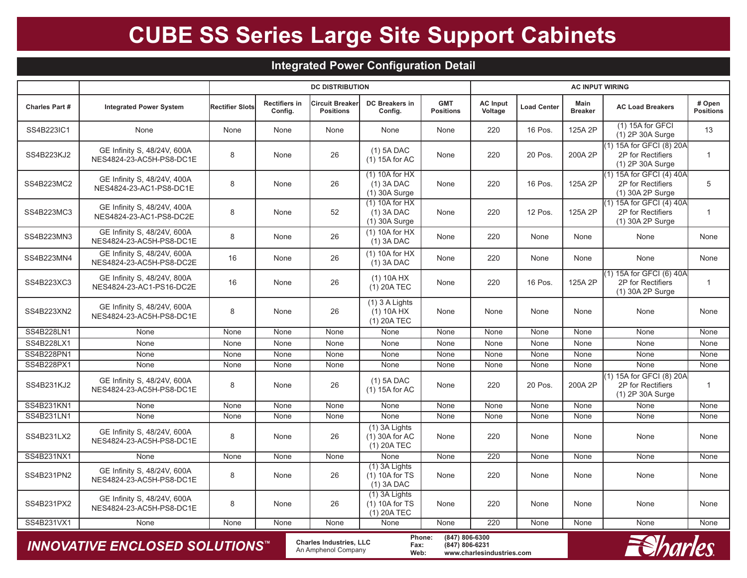### **Integrated Power Configuration Detail**

|                       |                                                                                                                                                                                           |                 | <b>DC DISTRIBUTION</b>          |                                            |                                                      |                                |                            | <b>AC INPUT WIRING</b> |                        |                                                                   |                            |  |  |
|-----------------------|-------------------------------------------------------------------------------------------------------------------------------------------------------------------------------------------|-----------------|---------------------------------|--------------------------------------------|------------------------------------------------------|--------------------------------|----------------------------|------------------------|------------------------|-------------------------------------------------------------------|----------------------------|--|--|
| <b>Charles Part #</b> | <b>Integrated Power System</b>                                                                                                                                                            | Rectifier Slots | <b>Rectifiers in</b><br>Config. | <b>Circuit Breaker</b><br><b>Positions</b> | <b>DC Breakers in</b><br>Config.                     | <b>GMT</b><br><b>Positions</b> | <b>AC Input</b><br>Voltage | <b>Load Center</b>     | Main<br><b>Breaker</b> | <b>AC Load Breakers</b>                                           | # Open<br><b>Positions</b> |  |  |
| SS4B223IC1            | None                                                                                                                                                                                      | None            | None                            | None                                       | None                                                 | None                           | 220                        | 16 Pos.                | 125A 2P                | (1) 15A for GFCI<br>(1) 2P 30A Surge                              | 13                         |  |  |
| SS4B223KJ2            | GE Infinity S, 48/24V, 600A<br>NES4824-23-AC5H-PS8-DC1E                                                                                                                                   | 8               | None                            | 26                                         | $(1)$ 5A DAC<br>(1) 15A for AC                       | None                           | 220                        | 20 Pos.                | 200A 2P                | (1) 15A for GFCI (8) 20A<br>2P for Rectifiers<br>(1) 2P 30A Surge | $\mathbf{1}$               |  |  |
| SS4B223MC2            | GE Infinity S, 48/24V, 400A<br>NES4824-23-AC1-PS8-DC1E                                                                                                                                    | 8               | None                            | 26                                         | $(1)$ 10A for HX<br>$(1)$ 3A DAC<br>(1) 30A Surge    | None                           | 220                        | 16 Pos.                | 125A 2P                | (1) 15A for GFCI (4) 40A<br>2P for Rectifiers<br>(1) 30A 2P Surge | 5                          |  |  |
| SS4B223MC3            | GE Infinity S, 48/24V, 400A<br>NES4824-23-AC1-PS8-DC2E                                                                                                                                    | 8               | None                            | 52                                         | $(1)$ 10A for HX<br>$(1)$ 3A DAC<br>$(1)$ 30A Surge  | None                           | 220                        | 12 Pos.                | 125A 2P                | (1) 15A for GFCI (4) 40A<br>2P for Rectifiers<br>(1) 30A 2P Surge | $\mathbf{1}$               |  |  |
| SS4B223MN3            | GE Infinity S, 48/24V, 600A<br>NES4824-23-AC5H-PS8-DC1E                                                                                                                                   | 8               | None                            | 26                                         | $(1)$ 10A for HX<br>$(1)$ 3A DAC                     | None                           | 220                        | None                   | None                   | None                                                              | None                       |  |  |
| SS4B223MN4            | GE Infinity S, 48/24V, 600A<br>NES4824-23-AC5H-PS8-DC2E                                                                                                                                   | 16              | None                            | 26                                         | $(1)$ 10A for HX<br>$(1)$ 3A DAC                     | None                           | 220                        | None                   | None                   | None                                                              | None                       |  |  |
| SS4B223XC3            | GE Infinity S, 48/24V, 800A<br>NES4824-23-AC1-PS16-DC2E                                                                                                                                   | 16              | None                            | 26                                         | $(1)$ 10A HX<br>$(1)$ 20A TEC                        | None                           | 220                        | 16 Pos.                | 125A 2P                | (1) 15A for GFCI (6) 40A<br>2P for Rectifiers<br>(1) 30A 2P Surge | $\mathbf{1}$               |  |  |
| SS4B223XN2            | GE Infinity S, 48/24V, 600A<br>NES4824-23-AC5H-PS8-DC1E                                                                                                                                   | 8               | None                            | 26                                         | $(1)$ 3 A Lights<br>$(1)$ 10A HX<br>$(1)$ 20A TEC    | None                           | None                       | None                   | None                   | None                                                              | None                       |  |  |
| SS4B228LN1            | None                                                                                                                                                                                      | None            | None                            | None                                       | None                                                 | None                           | None                       | None                   | None                   | None                                                              | None                       |  |  |
| SS4B228LX1            | None                                                                                                                                                                                      | None            | None                            | None                                       | None                                                 | None                           | None                       | None                   | None                   | None                                                              | None                       |  |  |
| SS4B228PN1            | None                                                                                                                                                                                      | None            | None                            | None                                       | None                                                 | None                           | None                       | None                   | None                   | None                                                              | None                       |  |  |
| SS4B228PX1            | None                                                                                                                                                                                      | None            | None                            | None                                       | None                                                 | None                           | None                       | None                   | None                   | None                                                              | None                       |  |  |
| SS4B231KJ2            | GE Infinity S, 48/24V, 600A<br>NES4824-23-AC5H-PS8-DC1E                                                                                                                                   | 8               | None                            | 26                                         | $(1)$ 5A DAC<br>$(1)$ 15A for AC                     | None                           | 220                        | 20 Pos.                | 200A 2P                | (1) 15A for GFCI (8) 20A<br>2P for Rectifiers<br>(1) 2P 30A Surge | $\overline{1}$             |  |  |
| SS4B231KN1            | None                                                                                                                                                                                      | None            | None                            | None                                       | None                                                 | None                           | None                       | None                   | None                   | None                                                              | None                       |  |  |
| SS4B231LN1            | None                                                                                                                                                                                      | None            | None                            | None                                       | None                                                 | None                           | None                       | None                   | None                   | None                                                              | None                       |  |  |
| SS4B231LX2            | GE Infinity S, 48/24V, 600A<br>NES4824-23-AC5H-PS8-DC1E                                                                                                                                   | 8               | None                            | 26                                         | $(1)$ 3A Lights<br>$(1)$ 30A for AC<br>$(1)$ 20A TEC | None                           | 220                        | None                   | None                   | None                                                              | None                       |  |  |
| SS4B231NX1            | None                                                                                                                                                                                      | None            | None                            | None                                       | None                                                 | None                           | 220                        | None                   | None                   | None                                                              | None                       |  |  |
| SS4B231PN2            | GE Infinity S, 48/24V, 600A<br>NES4824-23-AC5H-PS8-DC1E                                                                                                                                   | 8               | None                            | 26                                         | (1) 3A Lights<br>$(1)$ 10A for TS<br>$(1)$ 3A DAC    | None                           | 220                        | None                   | None                   | None                                                              | None                       |  |  |
| SS4B231PX2            | GE Infinity S, 48/24V, 600A<br>NES4824-23-AC5H-PS8-DC1E                                                                                                                                   | 8               | None                            | 26                                         | (1) 3A Lights<br>$(1)$ 10A for TS<br>$(1)$ 20A TEC   | None                           | 220                        | None                   | None                   | None                                                              | None                       |  |  |
| SS4B231VX1            | None                                                                                                                                                                                      | None            | None                            | None                                       | None                                                 | None                           | $\overline{220}$           | None                   | None                   | None                                                              | None                       |  |  |
|                       | Phone:<br>(847) 806-6300<br><b>Charles Industries, LLC</b><br><b>INNOVATIVE ENCLOSED SOLUTIONS™</b><br>(847) 806-6231<br>Fax:<br>An Amphenol Company<br>Web:<br>www.charlesindustries.com |                 |                                 |                                            |                                                      |                                |                            |                        |                        |                                                                   |                            |  |  |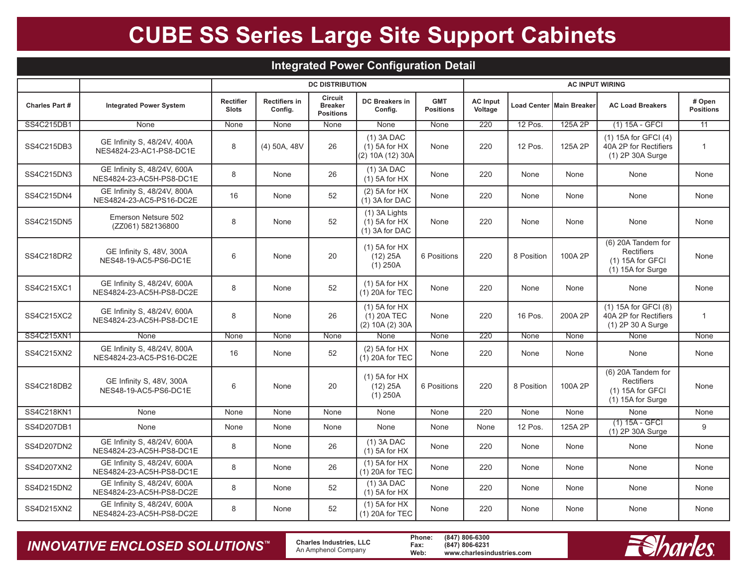| Integrated Power Configuration Detail |                                                         |                                  |                                 |                                               |                                                        |                                |                            |            |                                 |                                                                                    |                            |  |
|---------------------------------------|---------------------------------------------------------|----------------------------------|---------------------------------|-----------------------------------------------|--------------------------------------------------------|--------------------------------|----------------------------|------------|---------------------------------|------------------------------------------------------------------------------------|----------------------------|--|
|                                       |                                                         | <b>DC DISTRIBUTION</b>           |                                 |                                               |                                                        |                                | <b>AC INPUT WIRING</b>     |            |                                 |                                                                                    |                            |  |
| <b>Charles Part #</b>                 | <b>Integrated Power System</b>                          | <b>Rectifier</b><br><b>Slots</b> | <b>Rectifiers in</b><br>Config. | Circuit<br><b>Breaker</b><br><b>Positions</b> | <b>DC Breakers in</b><br>Config.                       | <b>GMT</b><br><b>Positions</b> | <b>AC Input</b><br>Voltage |            | <b>Load Center Main Breaker</b> | <b>AC Load Breakers</b>                                                            | # Open<br><b>Positions</b> |  |
| SS4C215DB1                            | None                                                    | None                             | None                            | None                                          | None                                                   | None                           | 220                        | 12 Pos.    | 125A 2P                         | $(1)$ 15A - GFCI                                                                   | 11                         |  |
| SS4C215DB3                            | GE Infinity S, 48/24V, 400A<br>NES4824-23-AC1-PS8-DC1E  | 8                                | $(4)$ 50A, 48V                  | 26                                            | $(1)$ 3A DAC<br>$(1)$ 5A for HX<br>(2) 10A (12) 30A    | None                           | 220                        | 12 Pos.    | 125A 2P                         | (1) 15A for GFCI (4)<br>40A 2P for Rectifiers<br>(1) 2P 30A Surge                  | $\overline{1}$             |  |
| SS4C215DN3                            | GE Infinity S, 48/24V, 600A<br>NES4824-23-AC5H-PS8-DC1E | 8                                | None                            | 26                                            | $(1)$ 3A DAC<br>$(1)$ 5A for HX                        | None                           | 220                        | None       | None                            | None                                                                               | None                       |  |
| SS4C215DN4                            | GE Infinity S, 48/24V, 800A<br>NES4824-23-AC5-PS16-DC2E | 16                               | None                            | 52                                            | $(2)$ 5A for HX<br>(1) 3A for DAC                      | None                           | 220                        | None       | None                            | None                                                                               | None                       |  |
| SS4C215DN5                            | Emerson Netsure 502<br>(ZZ061) 582136800                | 8                                | None                            | 52                                            | $(1)$ 3A Lights<br>$(1)$ 5A for HX<br>$(1)$ 3A for DAC | None                           | 220                        | None       | None                            | None                                                                               | None                       |  |
| SS4C218DR2                            | GE Infinity S, 48V, 300A<br>NES48-19-AC5-PS6-DC1E       | 6                                | None                            | 20                                            | $(1)$ 5A for HX<br>(12) 25A<br>$(1)$ 250A              | 6 Positions                    | 220                        | 8 Position | 100A 2P                         | (6) 20A Tandem for<br><b>Rectifiers</b><br>(1) 15A for GFCI<br>(1) 15A for Surge   | None                       |  |
| SS4C215XC1                            | GE Infinity S, 48/24V, 600A<br>NES4824-23-AC5H-PS8-DC2E | 8                                | None                            | 52                                            | $(1)$ 5A for HX<br>$(1)$ 20A for TEC                   | None                           | 220                        | None       | None                            | None                                                                               | None                       |  |
| SS4C215XC2                            | GE Infinity S, 48/24V, 600A<br>NES4824-23-AC5H-PS8-DC1E | 8                                | None                            | 26                                            | $(1)$ 5A for HX<br>$(1)$ 20A TEC<br>(2) 10A (2) 30A    | None                           | 220                        | 16 Pos.    | 200A 2P                         | (1) 15A for GFCI (8)<br>40A 2P for Rectifiers<br>(1) 2P 30 A Surge                 | $\overline{1}$             |  |
| SS4C215XN1                            | None                                                    | None                             | <b>None</b>                     | None                                          | None                                                   | None                           | 220                        | None       | None                            | None                                                                               | None                       |  |
| SS4C215XN2                            | GE Infinity S, 48/24V, 800A<br>NES4824-23-AC5-PS16-DC2E | 16                               | None                            | 52                                            | $(2)$ 5A for HX<br>(1) 20A for TEC                     | None                           | 220                        | None       | None                            | None                                                                               | None                       |  |
| SS4C218DB2                            | GE Infinity S, 48V, 300A<br>NES48-19-AC5-PS6-DC1E       | 6                                | None                            | 20                                            | $(1)$ 5A for HX<br>(12) 25A<br>$(1)$ 250A              | 6 Positions                    | 220                        | 8 Position | 100A 2P                         | (6) 20A Tandem for<br><b>Rectifiers</b><br>$(1)$ 15A for GFCI<br>(1) 15A for Surge | None                       |  |
| SS4C218KN1                            | None                                                    | None                             | None                            | None                                          | None                                                   | None                           | 220                        | None       | None                            | None                                                                               | None                       |  |
| SS4D207DB1                            | None                                                    | None                             | None                            | None                                          | None                                                   | None                           | None                       | 12 Pos.    | 125A 2P                         | $(1)$ 15A - GFCI<br>(1) 2P 30A Surge                                               | 9                          |  |
| SS4D207DN2                            | GE Infinity S, 48/24V, 600A<br>NES4824-23-AC5H-PS8-DC1E | 8                                | None                            | 26                                            | $(1)$ 3A DAC<br>$(1)$ 5A for HX                        | None                           | 220                        | None       | None                            | None                                                                               | None                       |  |
| SS4D207XN2                            | GE Infinity S, 48/24V, 600A<br>NES4824-23-AC5H-PS8-DC1E | 8                                | None                            | 26                                            | $(1)$ 5A for HX<br>$(1)$ 20A for TEC                   | None                           | 220                        | None       | None                            | None                                                                               | None                       |  |
| SS4D215DN2                            | GE Infinity S, 48/24V, 600A<br>NES4824-23-AC5H-PS8-DC2E | 8                                | None                            | 52                                            | $(1)$ 3A DAC<br>$(1)$ 5A for HX                        | None                           | 220                        | None       | None                            | None                                                                               | None                       |  |
| SS4D215XN2                            | GE Infinity S, 48/24V, 600A<br>NES4824-23-AC5H-PS8-DC2E | 8                                | None                            | 52                                            | $(1)$ 5A for HX<br>$(1)$ 20A for TEC                   | None                           | 220                        | None       | None                            | None                                                                               | None                       |  |

### *INNOVATIVE ENCLOSED SOLUTIONS ™*

 **Charles Industries, LLC** An Amphenol Company

**Phone: (847) 806-6300 Fax: (847) 806-6231 Web: www.charlesindustries.com**

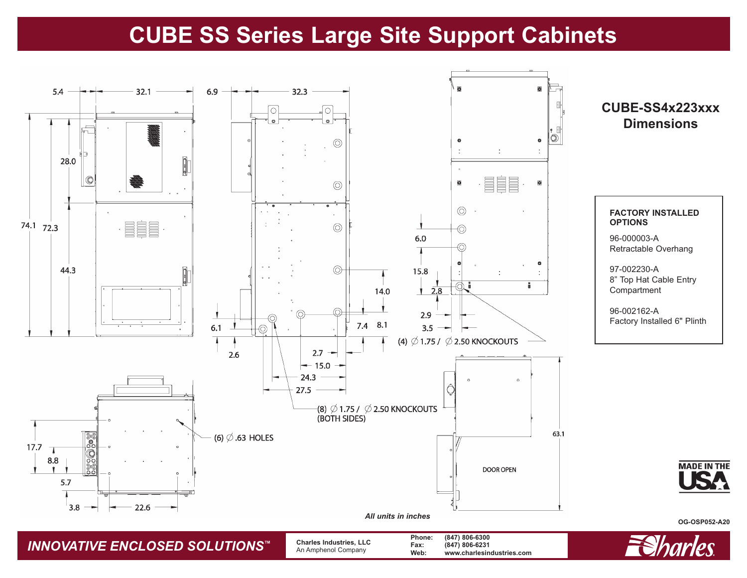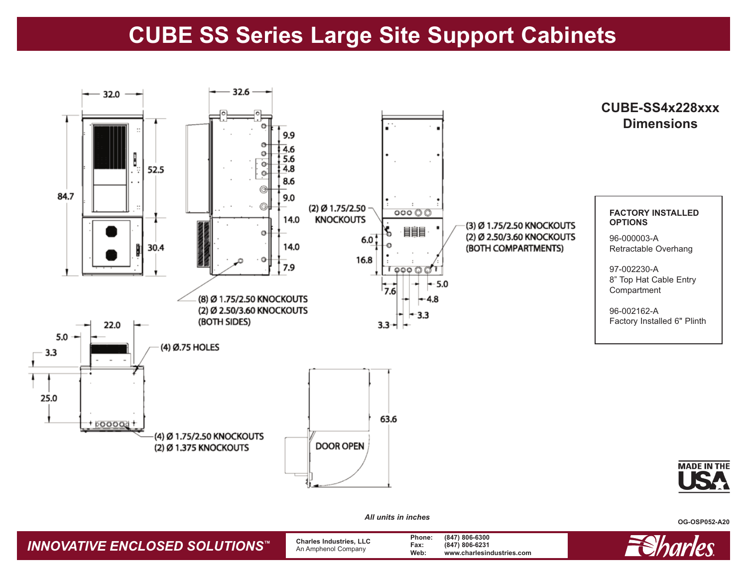

*All units in inches*

*INNOVATIVE ENCLOSED SOLUTIONS™* **Charles Industries, LLC** An Amphenol Company **Phone: (847) 806-6300 Fax: (847) 806-6231 Web: www.charlesindustries.com**



**OG-OSP052-A20**